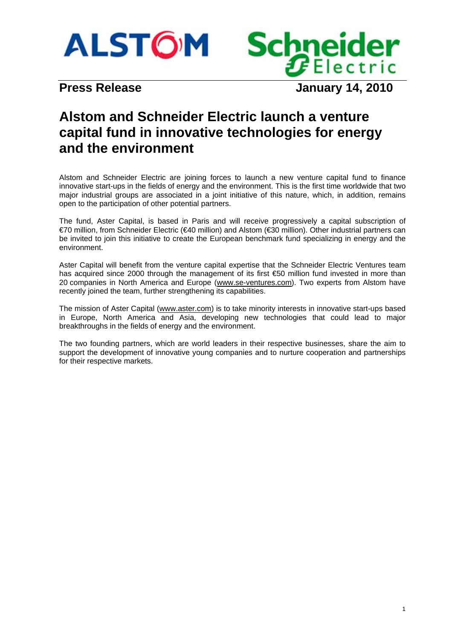



**Press Release January 14, 2010** 

# **Alstom and Schneider Electric launch a venture capital fund in innovative technologies for energy and the environment**

Alstom and Schneider Electric are joining forces to launch a new venture capital fund to finance innovative start-ups in the fields of energy and the environment. This is the first time worldwide that two major industrial groups are associated in a joint initiative of this nature, which, in addition, remains open to the participation of other potential partners.

The fund, Aster Capital, is based in Paris and will receive progressively a capital subscription of €70 million, from Schneider Electric (€40 million) and Alstom (€30 million). Other industrial partners can be invited to join this initiative to create the European benchmark fund specializing in energy and the environment.

Aster Capital will benefit from the venture capital expertise that the Schneider Electric Ventures team has acquired since 2000 through the management of its first €50 million fund invested in more than 20 companies in North America and Europe (www.se-ventures.com). Two experts from Alstom have recently joined the team, further strengthening its capabilities.

The mission of Aster Capital (www.aster.com) is to take minority interests in innovative start-ups based in Europe, North America and Asia, developing new technologies that could lead to major breakthroughs in the fields of energy and the environment.

The two founding partners, which are world leaders in their respective businesses, share the aim to support the development of innovative young companies and to nurture cooperation and partnerships for their respective markets.